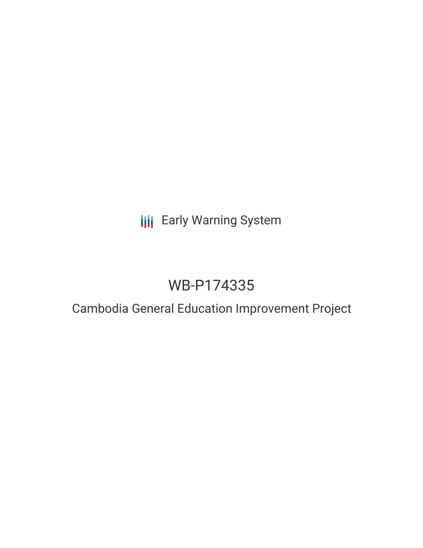# **III** Early Warning System

# WB-P174335

# Cambodia General Education Improvement Project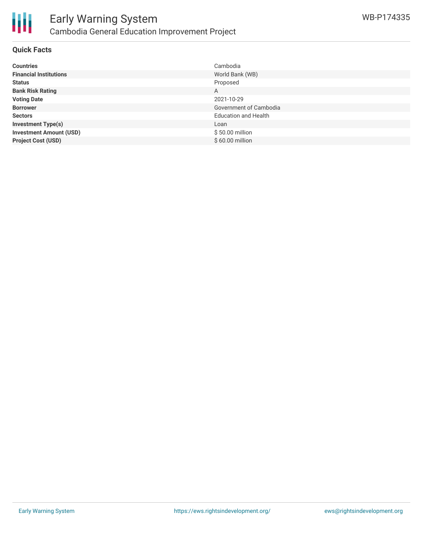

### **Quick Facts**

| <b>Countries</b>               | Cambodia                    |
|--------------------------------|-----------------------------|
| <b>Financial Institutions</b>  | World Bank (WB)             |
| <b>Status</b>                  | Proposed                    |
| <b>Bank Risk Rating</b>        | A                           |
| <b>Voting Date</b>             | 2021-10-29                  |
| <b>Borrower</b>                | Government of Cambodia      |
| <b>Sectors</b>                 | <b>Education and Health</b> |
| <b>Investment Type(s)</b>      | Loan                        |
| <b>Investment Amount (USD)</b> | \$50.00 million             |
| <b>Project Cost (USD)</b>      | \$60.00 million             |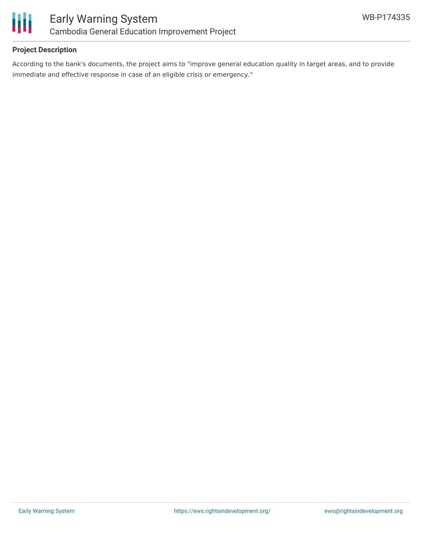

# **Project Description**

According to the bank's documents, the project aims to "improve general education quality in target areas, and to provide immediate and effective response in case of an eligible crisis or emergency."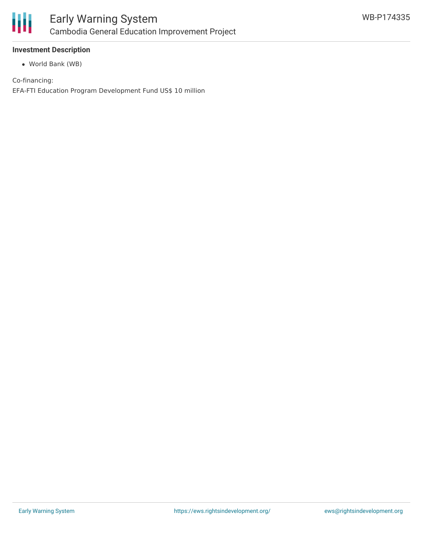

# **Investment Description**

World Bank (WB)

Co-financing: EFA-FTI Education Program Development Fund US\$ 10 million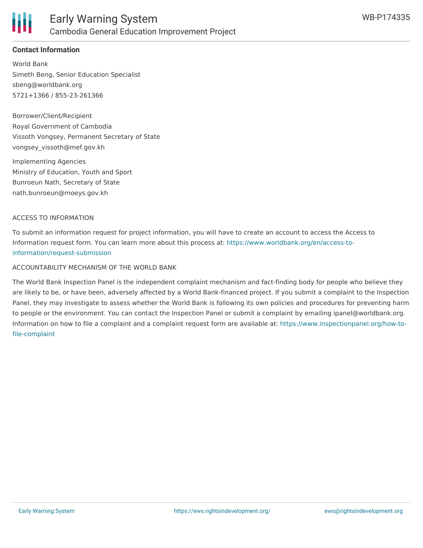

# **Contact Information**

World Bank Simeth Beng, Senior Education Specialist sbeng@worldbank.org 5721+1366 / 855-23-261366

Borrower/Client/Recipient Royal Government of Cambodia Vissoth Vongsey, Permanent Secretary of State vongsey\_vissoth@mef.gov.kh

Implementing Agencies Ministry of Education, Youth and Sport Bunroeun Nath, Secretary of State nath.bunroeun@moeys.gov.kh

#### ACCESS TO INFORMATION

To submit an information request for project information, you will have to create an account to access the Access to Information request form. You can learn more about this process at: [https://www.worldbank.org/en/access-to](https://www.worldbank.org/en/access-to-information/request-submission)information/request-submission

#### ACCOUNTABILITY MECHANISM OF THE WORLD BANK

The World Bank Inspection Panel is the independent complaint mechanism and fact-finding body for people who believe they are likely to be, or have been, adversely affected by a World Bank-financed project. If you submit a complaint to the Inspection Panel, they may investigate to assess whether the World Bank is following its own policies and procedures for preventing harm to people or the environment. You can contact the Inspection Panel or submit a complaint by emailing ipanel@worldbank.org. Information on how to file a complaint and a complaint request form are available at: [https://www.inspectionpanel.org/how-to](https://www.inspectionpanel.org/how-to-file-complaint)file-complaint